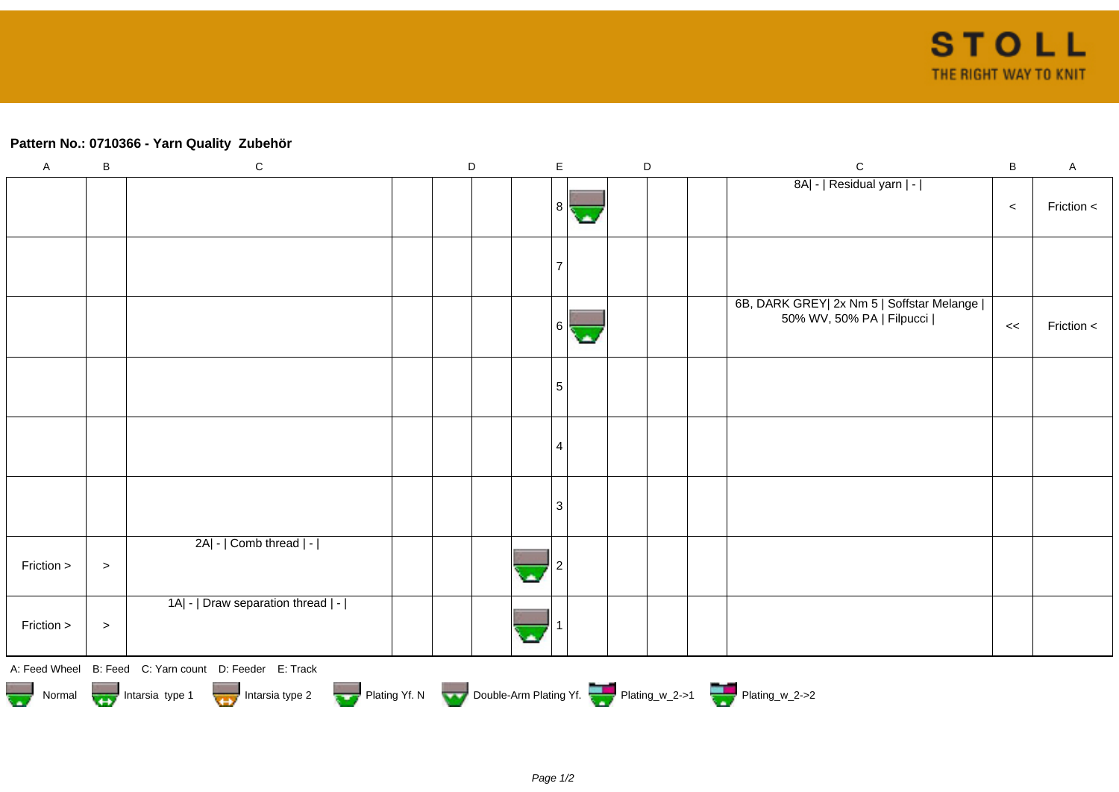## **Pattern No.: 0710366 - Yarn Quality Zubehör**

| $\mathsf A$ | $\sf B$ | ${\bf C}$                                                                        | $\mathsf D$ | $\mathsf E$     | $\mathsf D$ | $\mathbf C$                                                              | $\sf B$ | $\mathsf A$ |
|-------------|---------|----------------------------------------------------------------------------------|-------------|-----------------|-------------|--------------------------------------------------------------------------|---------|-------------|
|             |         |                                                                                  |             | 8               |             | 8A  -   Residual yarn   -                                                | $\,<$   | Friction <  |
|             |         |                                                                                  |             |                 |             |                                                                          |         |             |
|             |         |                                                                                  |             | 6               |             | 6B, DARK GREY  2x Nm 5   Soffstar Melange  <br>50% WV, 50% PA   Filpucci | $\,<$   | Friction <  |
|             |         |                                                                                  |             | $5\phantom{.0}$ |             |                                                                          |         |             |
|             |         |                                                                                  |             | 4               |             |                                                                          |         |             |
|             |         |                                                                                  |             | 3               |             |                                                                          |         |             |
| Friction >  | $\, >$  | 2A  -   Comb thread   -                                                          |             |                 |             |                                                                          |         |             |
| Friction >  | $\, >$  | 1A  -   Draw separation thread   -                                               |             |                 |             |                                                                          |         |             |
|             |         | A: Feed Wheel B: Feed C: Yarn count D: Feeder E: Track                           |             |                 |             |                                                                          |         |             |
|             |         | Normal Montain Strategy Intarsia type 2 but Plating Yf. N Double-Arm Plating Yf. |             |                 |             |                                                                          |         |             |